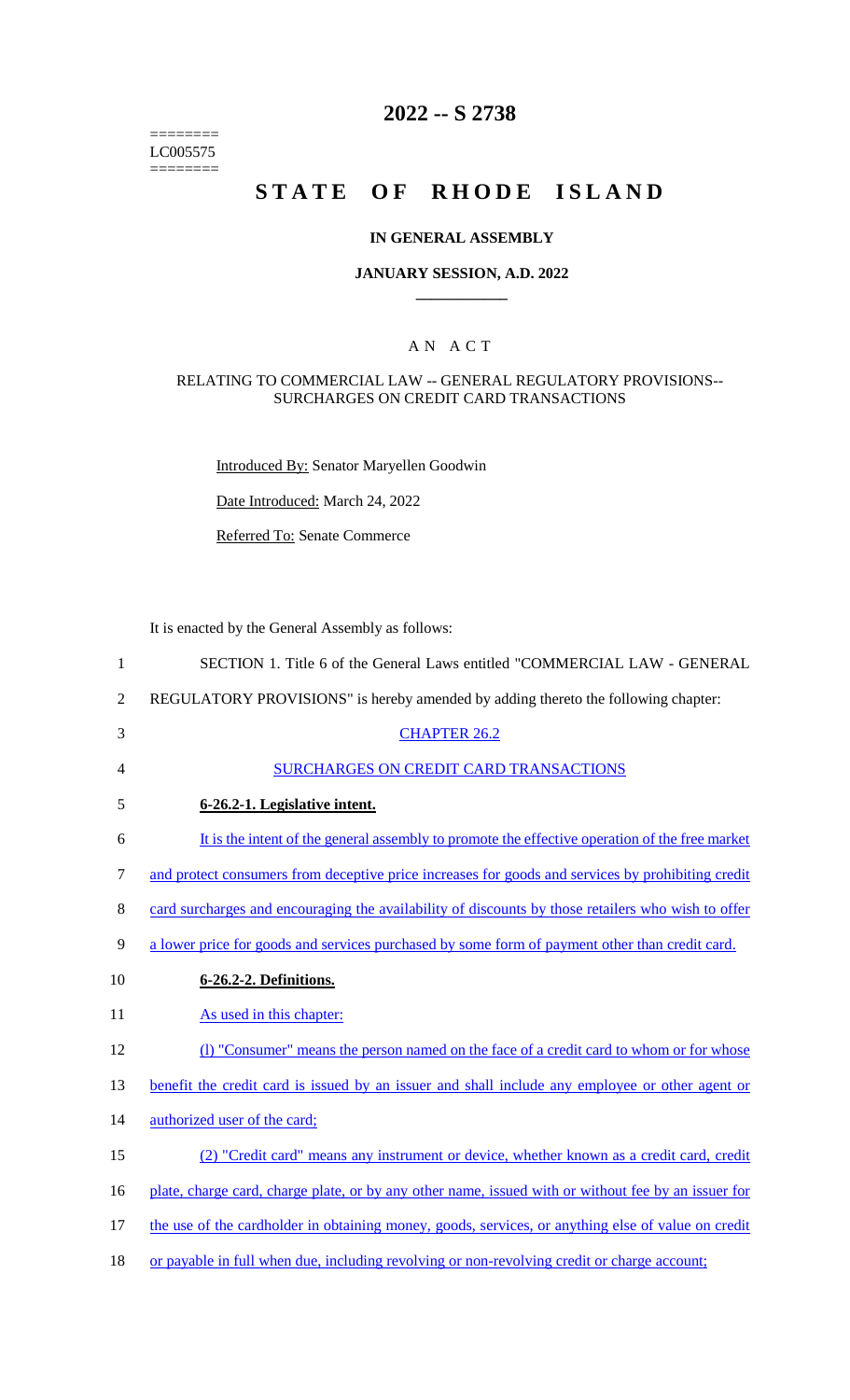======== LC005575  $=$ 

## **2022 -- S 2738**

# **STATE OF RHODE ISLAND**

#### **IN GENERAL ASSEMBLY**

#### **JANUARY SESSION, A.D. 2022 \_\_\_\_\_\_\_\_\_\_\_\_**

## A N A C T

#### RELATING TO COMMERCIAL LAW -- GENERAL REGULATORY PROVISIONS-- SURCHARGES ON CREDIT CARD TRANSACTIONS

Introduced By: Senator Maryellen Goodwin

Date Introduced: March 24, 2022

Referred To: Senate Commerce

It is enacted by the General Assembly as follows:

| $\mathbf{1}$   | SECTION 1. Title 6 of the General Laws entitled "COMMERCIAL LAW - GENERAL                           |
|----------------|-----------------------------------------------------------------------------------------------------|
| $\overline{2}$ | REGULATORY PROVISIONS" is hereby amended by adding thereto the following chapter:                   |
| 3              | <b>CHAPTER 26.2</b>                                                                                 |
| 4              | <b>SURCHARGES ON CREDIT CARD TRANSACTIONS</b>                                                       |
| 5              | 6-26.2-1. Legislative intent.                                                                       |
| 6              | It is the intent of the general assembly to promote the effective operation of the free market      |
| $\tau$         | and protect consumers from deceptive price increases for goods and services by prohibiting credit   |
| $8\,$          | card surcharges and encouraging the availability of discounts by those retailers who wish to offer  |
| 9              | a lower price for goods and services purchased by some form of payment other than credit card.      |
| 10             | 6-26.2-2. Definitions.                                                                              |
| 11             | As used in this chapter:                                                                            |
| 12             | (1) "Consumer" means the person named on the face of a credit card to whom or for whose             |
| 13             | benefit the credit card is issued by an issuer and shall include any employee or other agent or     |
| 14             | authorized user of the card;                                                                        |
| 15             | (2) "Credit card" means any instrument or device, whether known as a credit card, credit            |
| 16             | plate, charge card, charge plate, or by any other name, issued with or without fee by an issuer for |
| 17             | the use of the cardholder in obtaining money, goods, services, or anything else of value on credit  |
|                |                                                                                                     |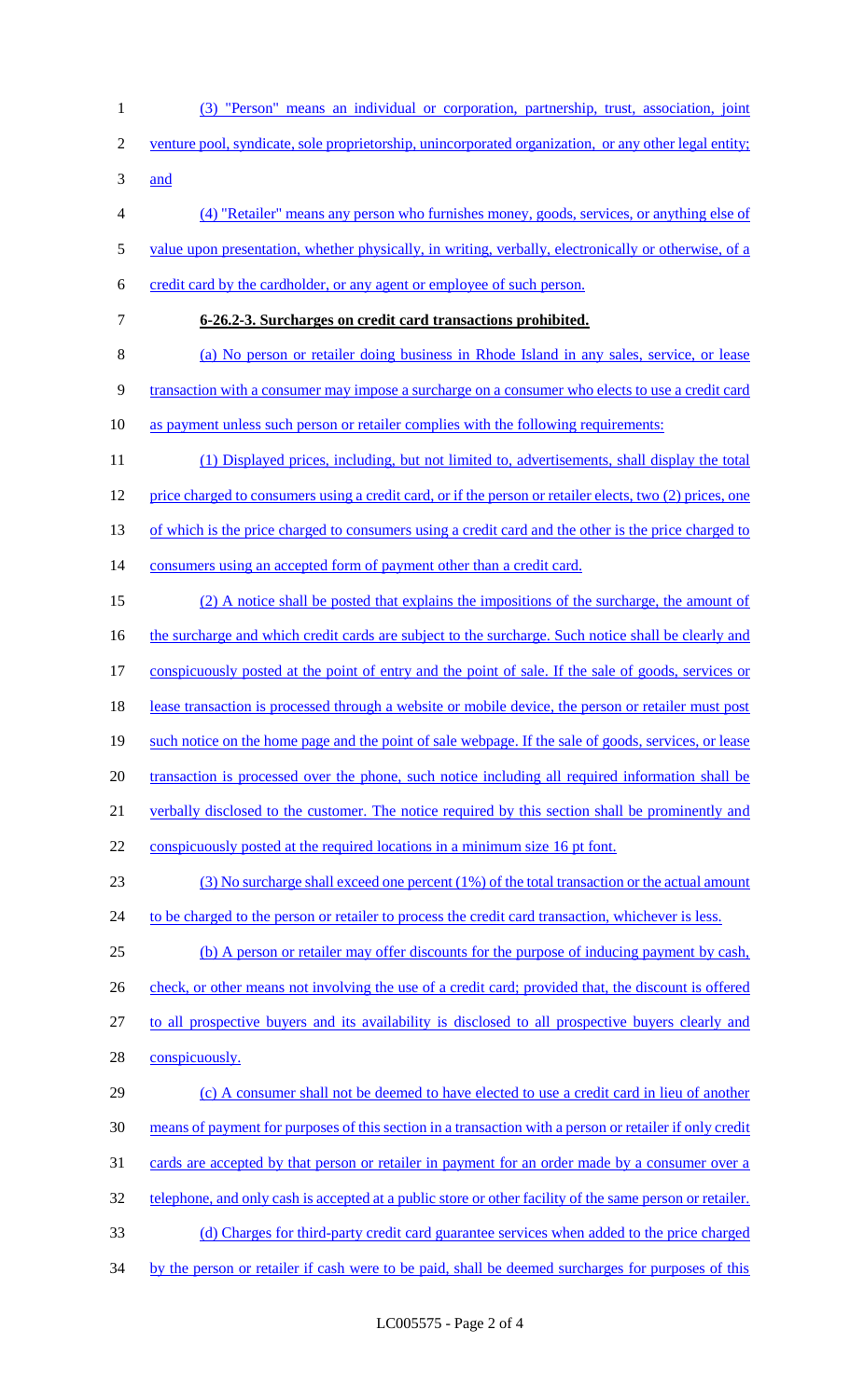(3) "Person" means an individual or corporation, partnership, trust, association, joint venture pool, syndicate, sole proprietorship, unincorporated organization, or any other legal entity; and (4) "Retailer" means any person who furnishes money, goods, services, or anything else of value upon presentation, whether physically, in writing, verbally, electronically or otherwise, of a credit card by the cardholder, or any agent or employee of such person. **6-26.2-3. Surcharges on credit card transactions prohibited.**  (a) No person or retailer doing business in Rhode Island in any sales, service, or lease transaction with a consumer may impose a surcharge on a consumer who elects to use a credit card 10 as payment unless such person or retailer complies with the following requirements: (1) Displayed prices, including, but not limited to, advertisements, shall display the total price charged to consumers using a credit card, or if the person or retailer elects, two (2) prices, one 13 of which is the price charged to consumers using a credit card and the other is the price charged to 14 consumers using an accepted form of payment other than a credit card. (2) A notice shall be posted that explains the impositions of the surcharge, the amount of 16 the surcharge and which credit cards are subject to the surcharge. Such notice shall be clearly and conspicuously posted at the point of entry and the point of sale. If the sale of goods, services or lease transaction is processed through a website or mobile device, the person or retailer must post such notice on the home page and the point of sale webpage. If the sale of goods, services, or lease 20 transaction is processed over the phone, such notice including all required information shall be 21 verbally disclosed to the customer. The notice required by this section shall be prominently and 22 conspicuously posted at the required locations in a minimum size 16 pt font. (3) No surcharge shall exceed one percent (1%) of the total transaction or the actual amount 24 to be charged to the person or retailer to process the credit card transaction, whichever is less. (b) A person or retailer may offer discounts for the purpose of inducing payment by cash, 26 check, or other means not involving the use of a credit card; provided that, the discount is offered to all prospective buyers and its availability is disclosed to all prospective buyers clearly and conspicuously. (c) A consumer shall not be deemed to have elected to use a credit card in lieu of another means of payment for purposes of this section in a transaction with a person or retailer if only credit 31 cards are accepted by that person or retailer in payment for an order made by a consumer over a 32 telephone, and only cash is accepted at a public store or other facility of the same person or retailer. (d) Charges for third-party credit card guarantee services when added to the price charged by the person or retailer if cash were to be paid, shall be deemed surcharges for purposes of this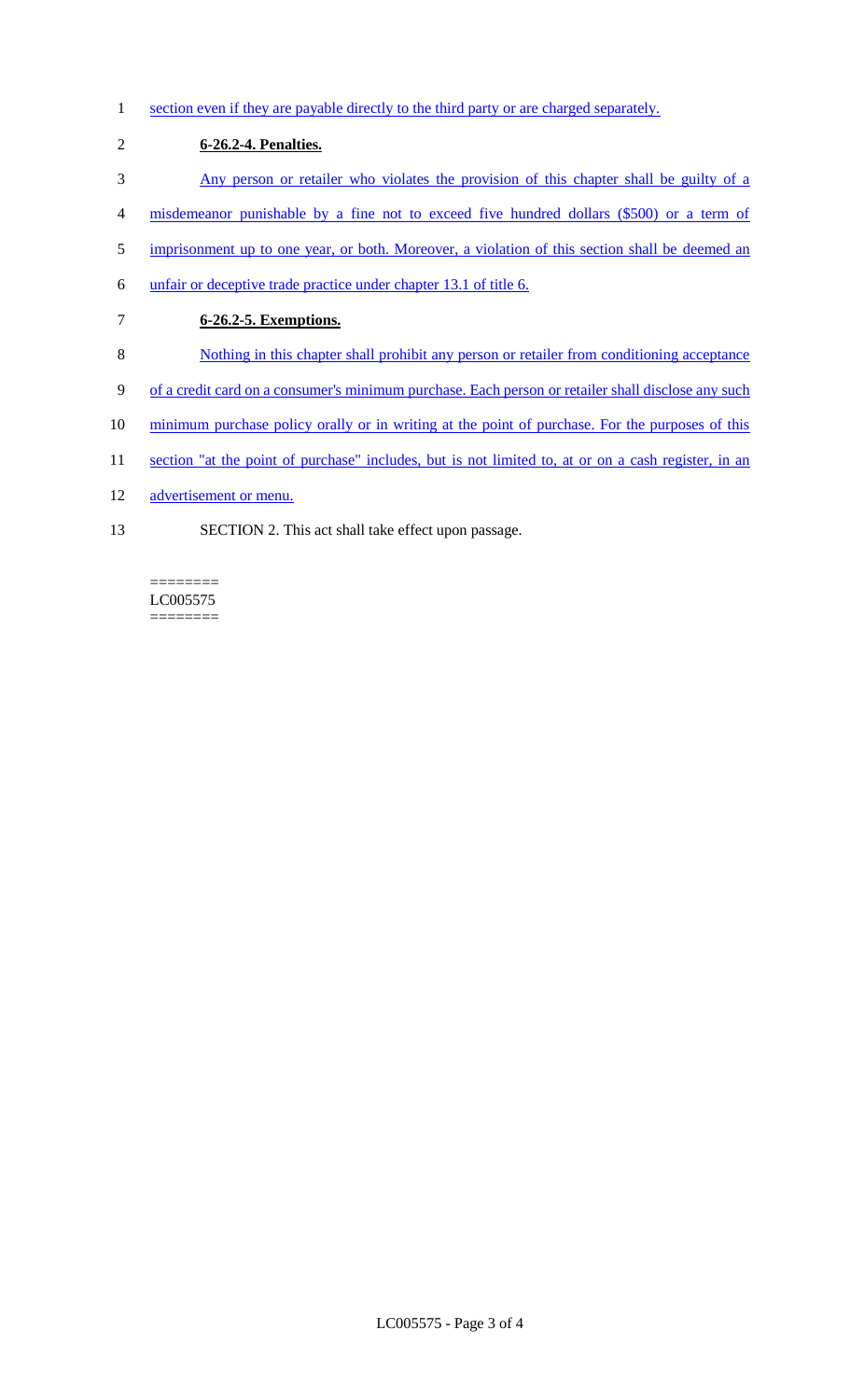- 1 section even if they are payable directly to the third party or are charged separately.
- 2 **6-26.2-4. Penalties.**  3 Any person or retailer who violates the provision of this chapter shall be guilty of a 4 misdemeanor punishable by a fine not to exceed five hundred dollars (\$500) or a term of 5 imprisonment up to one year, or both. Moreover, a violation of this section shall be deemed an
- 6 unfair or deceptive trade practice under chapter 13.1 of title 6.
- 7 **6-26.2-5. Exemptions.**
- 8 Nothing in this chapter shall prohibit any person or retailer from conditioning acceptance
- 9 of a credit card on a consumer's minimum purchase. Each person or retailer shall disclose any such
- 10 minimum purchase policy orally or in writing at the point of purchase. For the purposes of this
- 11 section "at the point of purchase" includes, but is not limited to, at or on a cash register, in an
- 12 advertisement or menu.
- 13 SECTION 2. This act shall take effect upon passage.

LC005575  $=$ 

========